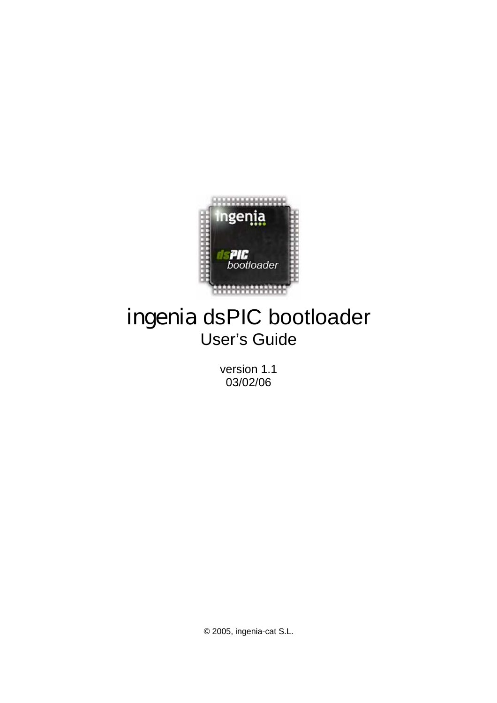

# ingenia dsPIC bootloader User's Guide

version 1.1 03/02/06

© 2005, ingenia-cat S.L.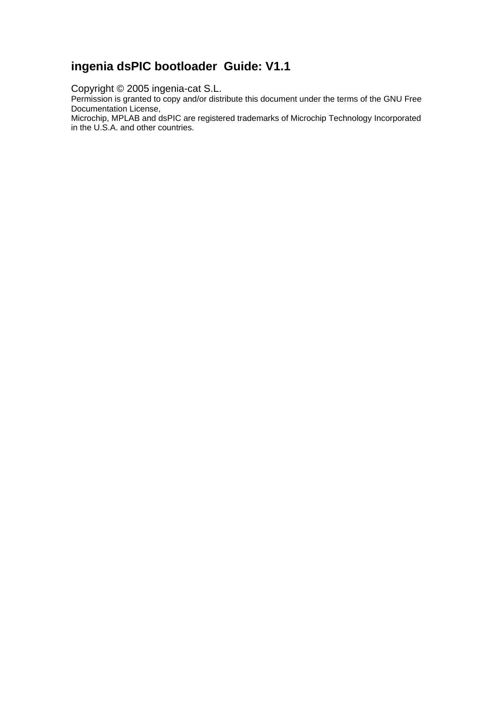## **ingenia dsPIC bootloader Guide: V1.1**

Copyright © 2005 ingenia-cat S.L.

Permission is granted to copy and/or distribute this document under the terms of the GNU Free Documentation License,

Microchip, MPLAB and dsPIC are registered trademarks of Microchip Technology Incorporated in the U.S.A. and other countries.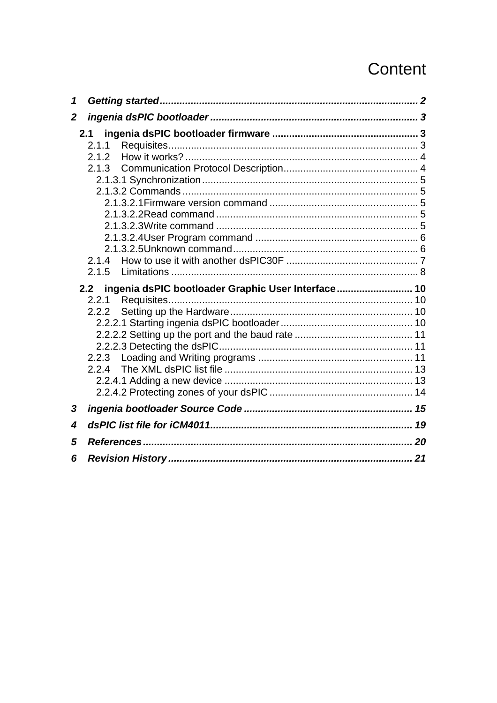# Content

| 1                |                                                        |  |
|------------------|--------------------------------------------------------|--|
| $\boldsymbol{2}$ |                                                        |  |
|                  | 2.1.1                                                  |  |
|                  | 2.1.2<br>2.1.3                                         |  |
|                  |                                                        |  |
|                  |                                                        |  |
|                  |                                                        |  |
|                  |                                                        |  |
|                  |                                                        |  |
|                  | 2.1.5                                                  |  |
|                  |                                                        |  |
|                  | 2.2 ingenia dsPIC bootloader Graphic User Interface 10 |  |
|                  | 2.2.1                                                  |  |
|                  | 2.2.2                                                  |  |
|                  |                                                        |  |
|                  |                                                        |  |
|                  |                                                        |  |
|                  | 2.2.3                                                  |  |
|                  |                                                        |  |
|                  |                                                        |  |
| 3                |                                                        |  |
| 4                |                                                        |  |
| 5                |                                                        |  |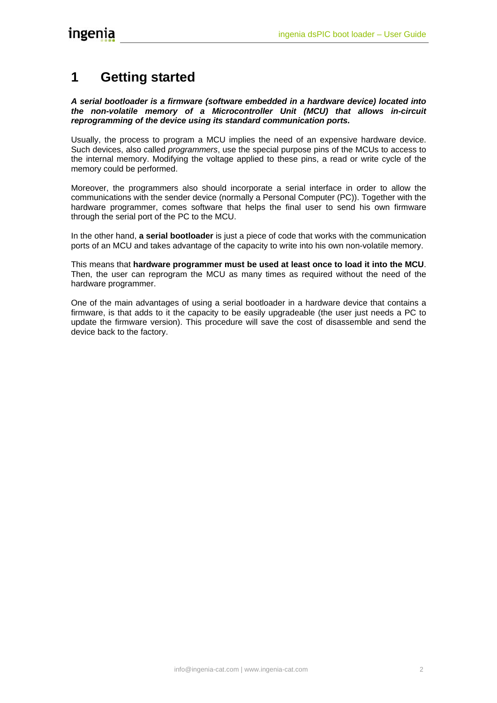# <span id="page-3-0"></span>**1 Getting started**

*A serial bootloader is a firmware (software embedded in a hardware device) located into the non-volatile memory of a Microcontroller Unit (MCU) that allows in-circuit reprogramming of the device using its standard communication ports.* 

Usually, the process to program a MCU implies the need of an expensive hardware device. Such devices, also called *programmers*, use the special purpose pins of the MCUs to access to the internal memory. Modifying the voltage applied to these pins, a read or write cycle of the memory could be performed.

Moreover, the programmers also should incorporate a serial interface in order to allow the communications with the sender device (normally a Personal Computer (PC)). Together with the hardware programmer, comes software that helps the final user to send his own firmware through the serial port of the PC to the MCU.

In the other hand, **a serial bootloader** is just a piece of code that works with the communication ports of an MCU and takes advantage of the capacity to write into his own non-volatile memory.

This means that **hardware programmer must be used at least once to load it into the MCU**. Then, the user can reprogram the MCU as many times as required without the need of the hardware programmer.

One of the main advantages of using a serial bootloader in a hardware device that contains a firmware, is that adds to it the capacity to be easily upgradeable (the user just needs a PC to update the firmware version). This procedure will save the cost of disassemble and send the device back to the factory.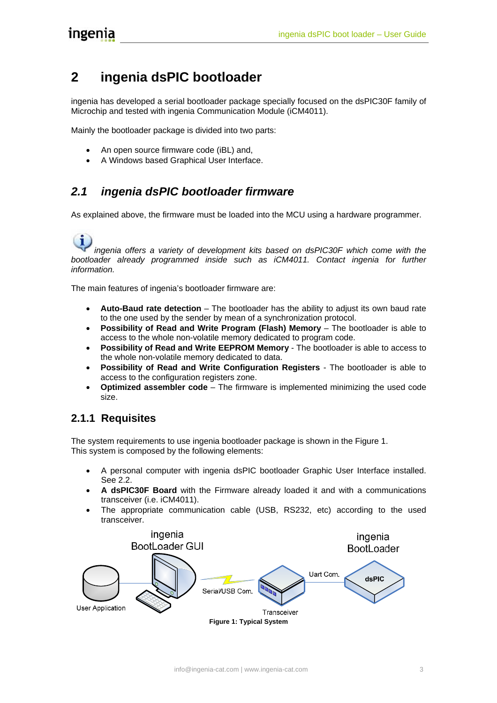# <span id="page-4-0"></span>**2 ingenia dsPIC bootloader**

ingenia has developed a serial bootloader package specially focused on the dsPIC30F family of Microchip and tested with ingenia Communication Module (iCM4011).

Mainly the bootloader package is divided into two parts:

- An open source firmware code (iBL) and,
- A Windows based Graphical User Interface.

## *2.1 ingenia dsPIC bootloader firmware*

As explained above, the firmware must be loaded into the MCU using a hardware programmer.

#### *ingenia offers a variety of development kits based on dsPIC30F which come with the* bootloader already programmed inside such as *iCM4011*. Contact ingenia for further *information.*

The main features of ingenia's bootloader firmware are:

- **Auto-Baud rate detection** The bootloader has the ability to adjust its own baud rate to the one used by the sender by mean of a synchronization protocol.
- **Possibility of Read and Write Program (Flash) Memory** The bootloader is able to access to the whole non-volatile memory dedicated to program code.
- **Possibility of Read and Write EEPROM Memory** The bootloader is able to access to the whole non-volatile memory dedicated to data.
- **Possibility of Read and Write Configuration Registers**  The bootloader is able to access to the configuration registers zone.
- **Optimized assembler code**  The firmware is implemented minimizing the used code size.

### **2.1.1 Requisites**

The system requirements to use ingenia bootloader package is shown in the [Figure 1.](#page-4-1) This system is composed by the following elements:

- A personal computer with ingenia dsPIC bootloader Graphic User Interface installed. See [2.2.](#page-11-1)
- **A dsPIC30F Board** with the Firmware already loaded it and with a communications transceiver (i.e. iCM4011).
- The appropriate communication cable (USB, RS232, etc) according to the used transceiver.

<span id="page-4-1"></span>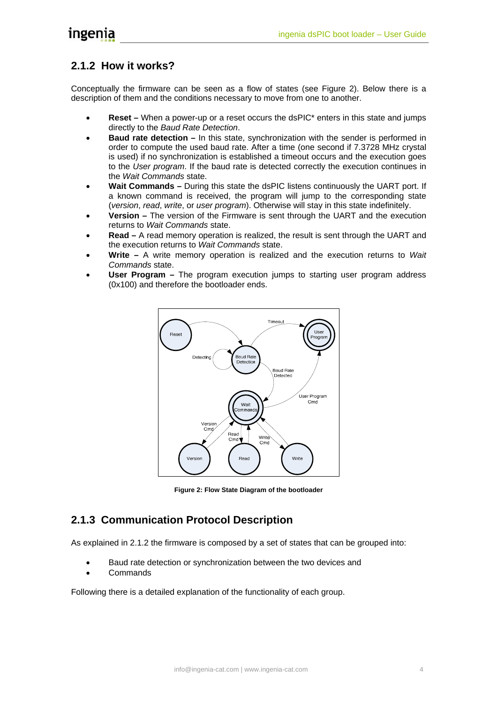## <span id="page-5-2"></span><span id="page-5-0"></span>**2.1.2 How it works?**

Conceptually the firmware can be seen as a flow of states (see [Figure 2\)](#page-5-1). Below there is a description of them and the conditions necessary to move from one to another.

- **Reset** When a power-up or a reset occurs the dsPIC\* enters in this state and jumps directly to the *Baud Rate Detection*.
- **Baud rate detection –** In this state, synchronization with the sender is performed in order to compute the used baud rate. After a time (one second if 7.3728 MHz crystal is used) if no synchronization is established a timeout occurs and the execution goes to the *User program*. If the baud rate is detected correctly the execution continues in the *Wait Commands* state.
- **Wait Commands** During this state the dsPIC listens continuously the UART port. If a known command is received, the program will jump to the corresponding state (*version*, *read*, *write*, or *user program*). Otherwise will stay in this state indefinitely.
- **Version –** The version of the Firmware is sent through the UART and the execution returns to *Wait Commands* state.
- **Read** A read memory operation is realized, the result is sent through the UART and the execution returns to *Wait Commands* state.
- **Write** A write memory operation is realized and the execution returns to *Wait Commands* state.
- **User Program** The program execution jumps to starting user program address (0x100) and therefore the bootloader ends.



<span id="page-5-1"></span>**Figure 2: Flow State Diagram of the bootloader**

## **2.1.3 Communication Protocol Description**

As explained in [2.1.2](#page-5-2) the firmware is composed by a set of states that can be grouped into:

- Baud rate detection or synchronization between the two devices and
- Commands

Following there is a detailed explanation of the functionality of each group.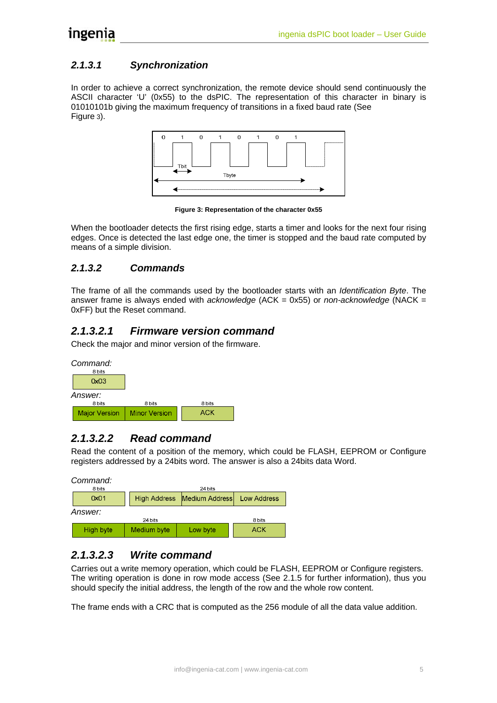#### <span id="page-6-0"></span>*2.1.3.1 Synchronization*

In order to achieve a correct synchronization, the remote device should send continuously the ASCII character 'U' (0x55) to the dsPIC. The representation of this character in binary is 01010101b giving the maximum frequency of transitions in a fixed baud rate (See [Figure 3](#page-6-1)).



<span id="page-6-1"></span>**Figure 3: Representation of the character 0x55**

When the bootloader detects the first rising edge, starts a timer and looks for the next four rising edges. Once is detected the last edge one, the timer is stopped and the baud rate computed by means of a simple division.

#### *2.1.3.2 Commands*

The frame of all the commands used by the bootloader starts with an *Identification Byte*. The answer frame is always ended with *acknowledge* (ACK = 0x55) or *non-acknowledge* (NACK = 0xFF) but the Reset command.

### *2.1.3.2.1 Firmware version command*

Check the major and minor version of the firmware.



### *2.1.3.2.2 Read command*

Read the content of a position of the memory, which could be FLASH, EEPROM or Configure registers addressed by a 24bits word. The answer is also a 24bits data Word.

| Command:<br>8 bits<br>24 bits |                     |                                      |            |  |  |
|-------------------------------|---------------------|--------------------------------------|------------|--|--|
| 0x01                          | <b>High Address</b> | Medium Address<br><b>Low Address</b> |            |  |  |
| Answer:<br>24 bits<br>8 bits  |                     |                                      |            |  |  |
| High byte                     | Medium byte         | Low byte                             | <b>ACK</b> |  |  |

#### *2.1.3.2.3 Write command*

Carries out a write memory operation, which could be FLASH, EEPROM or Configure registers. The writing operation is done in row mode access (See [2.1.5](#page-9-1) for further information), thus you should specify the initial address, the length of the row and the whole row content.

The frame ends with a CRC that is computed as the 256 module of all the data value addition.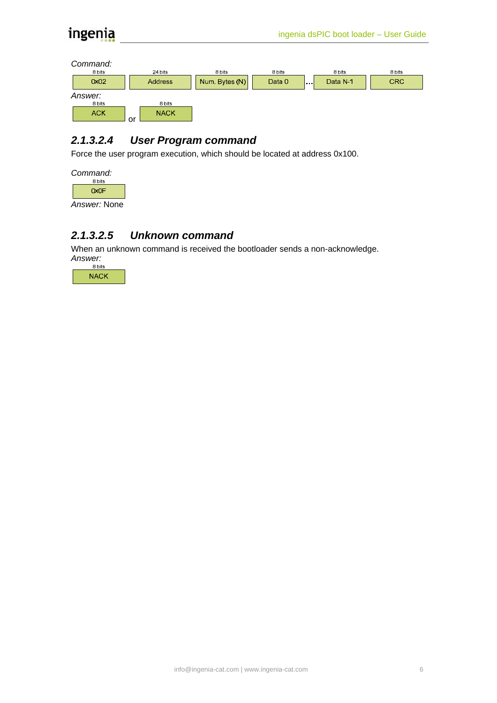<span id="page-7-0"></span>*Command:* 



## *2.1.3.2.4 User Program command*

Force the user program execution, which should be located at address 0x100.



*Answer:* None

#### *2.1.3.2.5 Unknown command*

When an unknown command is received the bootloader sends a non-acknowledge. *Answer:* 

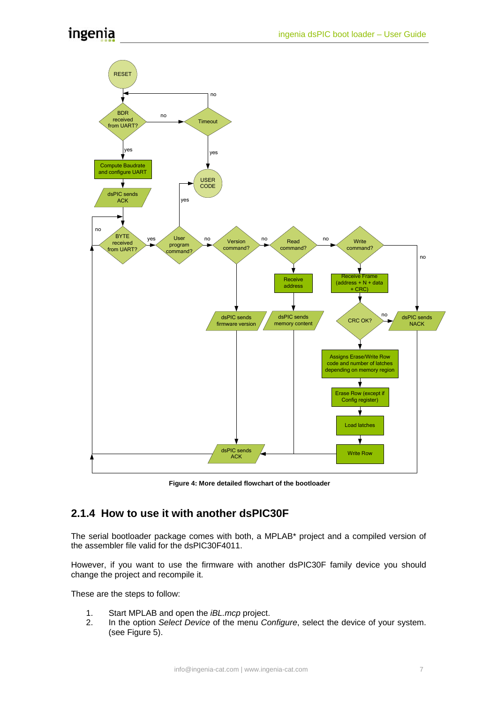<span id="page-8-0"></span>

 **Figure 4: More detailed flowchart of the bootloader** 

## **2.1.4 How to use it with another dsPIC30F**

The serial bootloader package comes with both, a MPLAB\* project and a compiled version of the assembler file valid for the dsPIC30F4011.

However, if you want to use the firmware with another dsPIC30F family device you should change the project and recompile it.

These are the steps to follow:

- 1. Start MPLAB and open the *iBL.mcp* project.
- 2. In the option *Select Device* of the menu *Configure*, select the device of your system. (see [Figure 5\)](#page-9-2).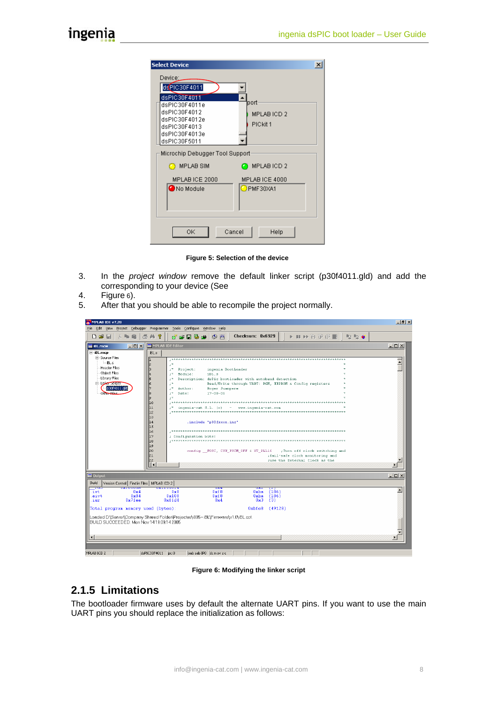<span id="page-9-0"></span>Ŀ

| ielect Device                   | $\vert x \vert$            |
|---------------------------------|----------------------------|
| Device:_                        |                            |
| dsPIC30F4011<br>dsPIC30F4011    |                            |
| dsPIC30F4011e                   | port                       |
| dsPIC30F4012<br>dsPIC30F4012e   | MPLAB ICD 2<br>PICkit 1    |
| dsPIC30F4013<br>dsPIC30F4013e   |                            |
| dsPIC30F5011                    |                            |
| Microchip Debugger Tool Support |                            |
| <b>B</b> MPLAB SIM              | MPLABICD 2                 |
| MPLAB ICE 2000<br>No Module     | MPLAB ICE 4000<br>PMF30XA1 |
|                                 |                            |
|                                 |                            |
|                                 |                            |
| ОK<br>Cancel                    | Help                       |

<span id="page-9-2"></span>**Figure 5: Selection of the device**

- 3. In the *project window* remove the default linker script (p30f4011.gld) and add the corresponding to your device (See
- 4. [Figure 6](#page-9-3)).
- 5. After that you should be able to recompile the project normally.

| MPLAB IDE v7.20                                                           |                                                                                                                                                                         | $\Box$ $\Box$ $\times$   |  |  |
|---------------------------------------------------------------------------|-------------------------------------------------------------------------------------------------------------------------------------------------------------------------|--------------------------|--|--|
| File Edit View Project Debugger Programmer Tools Configure Window Help    |                                                                                                                                                                         |                          |  |  |
| 3. 重自 画前 ?<br>□彦日                                                         | Checksum: $0 \times 6929$<br>$\mathbb{L}$ $\mathbb{R}$ $\oplus$ $\mathbb{R}$ $\oplus$ $\mathbb{R}$ $\oplus$ $\mathbb{R}$ $\oplus$<br><b>Branch</b><br>d* e* B 财 p   参 画 |                          |  |  |
| $\Box$<br><b>BL.mcw</b>                                                   | MPLAB IDE Editor                                                                                                                                                        | $-10 \times$             |  |  |
| $\boxdot$ iBL.mcp                                                         | iBL.s                                                                                                                                                                   |                          |  |  |
| Fi-Source Files<br>$-BL.s$                                                |                                                                                                                                                                         | $\overline{\phantom{a}}$ |  |  |
| <b>Header Files</b>                                                       | $2^{\frac{1}{n}}$<br>ingenia BootLoader<br>;* Project:                                                                                                                  |                          |  |  |
| Object Files                                                              | Module:<br>iBL.s<br>$\mathcal{F}^+$                                                                                                                                     |                          |  |  |
| Library Files<br>El-Linker Scripts                                        | Description: dsPic bootloader with autobaud detection                                                                                                                   |                          |  |  |
| p30f4011.gld                                                              | $\pm$ *<br>Read/Write through UART: PGM, EEPROM & Config registers<br>Author:<br>Roger Juanpere<br>$\mathbf{z}^*$                                                       |                          |  |  |
| Other Files                                                               | $17 - 08 - 05$<br>$:$ *<br>Date:                                                                                                                                        |                          |  |  |
|                                                                           | $\pm^{\star}$                                                                                                                                                           |                          |  |  |
|                                                                           | lıo<br>lıı<br>;* ingenia-cat S.L. (c) - www.ingenia-cat.com                                                                                                             |                          |  |  |
|                                                                           | 1z                                                                                                                                                                      |                          |  |  |
|                                                                           | Iıз<br> 14                                                                                                                                                              |                          |  |  |
|                                                                           | .include "p30fxxxx.inc"<br>lı s                                                                                                                                         |                          |  |  |
|                                                                           | 16                                                                                                                                                                      |                          |  |  |
|                                                                           | lı 7<br>; Configuration bits:<br>lıз                                                                                                                                    |                          |  |  |
|                                                                           | lı 9                                                                                                                                                                    |                          |  |  |
|                                                                           | l20<br>config _FOSC, CSW_FSCM_OFF & XT_PLL16 ___; Turn off clock switching and                                                                                          |                          |  |  |
|                                                                           | lz 1<br>; fail-safe clock monitoring and<br> zz <br>suse the External Clock as the                                                                                      |                          |  |  |
|                                                                           | İН                                                                                                                                                                      | $\blacktriangleright$    |  |  |
|                                                                           |                                                                                                                                                                         |                          |  |  |
| $\blacksquare$ Output                                                     |                                                                                                                                                                         | $\Box$ D $\times$        |  |  |
| Build<br>Version Control Find in Files   MPLAB ICD 2  <br><b>UALUUUUG</b> | <b>UALLUUULS</b>                                                                                                                                                        |                          |  |  |
| ಾರ<br>0x4<br>ivt                                                          | $\overline{0A4}$<br>$\overline{0}$ A4<br>$\frac{12}{186}$<br>0xf8<br>0xba<br>$0 \times 8$                                                                               | $\left  \right $         |  |  |
| $0 \times 84$<br>aivt<br>$0x7f$ ea<br>isr                                 | 0x108<br>0xf8<br>0xba<br>(186)<br>0xffd4<br>$0\times 4$<br>0x3<br>(3)                                                                                                   |                          |  |  |
| Total program memory used (bytes):                                        | 0xbfe8<br>(49128)                                                                                                                                                       |                          |  |  |
|                                                                           |                                                                                                                                                                         |                          |  |  |
|                                                                           | Loaded D:\Server\Company Shared Folder\Projectes\i005 - iBL\Firmware\v1.0\iBL.cof.                                                                                      |                          |  |  |
|                                                                           | BUILD SUCCEEDED: Mon Nov 14 19:09:14 2005                                                                                                                               |                          |  |  |
|                                                                           |                                                                                                                                                                         |                          |  |  |
| $\vert \cdot \vert$                                                       |                                                                                                                                                                         |                          |  |  |
|                                                                           |                                                                                                                                                                         |                          |  |  |
| MPLAR TCD 2                                                               | $deDTC30E4011$ $bc:0$<br>oab cab IPO dc p ov z c<br>T 0 1                                                                                                               |                          |  |  |

<span id="page-9-3"></span>**Figure 6: Modifying the linker script** 

## <span id="page-9-1"></span>**2.1.5 Limitations**

The bootloader firmware uses by default the alternate UART pins. If you want to use the main UART pins you should replace the initialization as follows: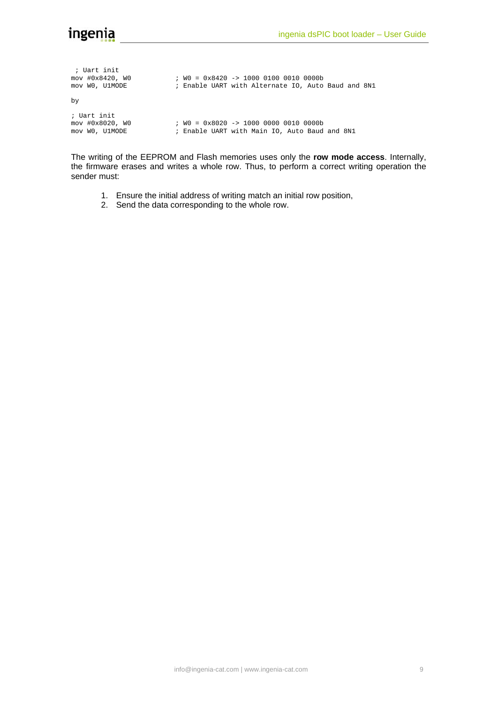| ; Uart init<br>mov #0x8420, W0<br>mov WO, U1MODE | $: W0 = 0 \times 8420 \rightarrow 1000 0100 0010 0000b$<br>; Enable UART with Alternate IO, Auto Baud and 8N1 |
|--------------------------------------------------|---------------------------------------------------------------------------------------------------------------|
| by                                               |                                                                                                               |
| ; Uart init<br>mov #0x8020, W0<br>mov WO, U1MODE | ; WO = $0x8020$ -> 1000 0000 0010 0000b<br>; Enable UART with Main IO, Auto Baud and 8N1                      |

The writing of the EEPROM and Flash memories uses only the **row mode access**. Internally, the firmware erases and writes a whole row. Thus, to perform a correct writing operation the sender must:

- 1. Ensure the initial address of writing match an initial row position,
- 2. Send the data corresponding to the whole row.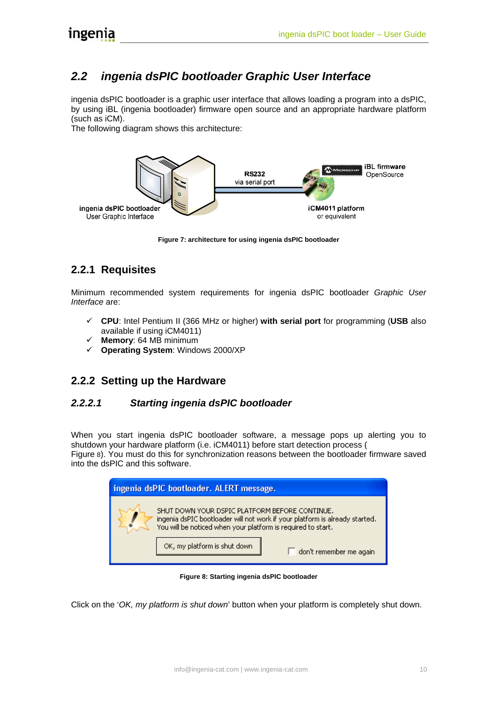## <span id="page-11-1"></span><span id="page-11-0"></span>*2.2 ingenia dsPIC bootloader Graphic User Interface*

ingenia dsPIC bootloader is a graphic user interface that allows loading a program into a dsPIC, by using iBL (ingenia bootloader) firmware open source and an appropriate hardware platform (such as iCM).

The following diagram shows this architecture:



**Figure 7: architecture for using ingenia dsPIC bootloader** 

## **2.2.1 Requisites**

Minimum recommended system requirements for ingenia dsPIC bootloader *Graphic User Interface* are:

- 9 **CPU**: Intel Pentium II (366 MHz or higher) **with serial port** for programming (**USB** also available if using iCM4011)
- 9 **Memory**: 64 MB minimum
- 9 **Operating System**: Windows 2000/XP

### **2.2.2 Setting up the Hardware**

#### *2.2.2.1 Starting ingenia dsPIC bootloader*

When you start ingenia dsPIC bootloader software, a message pops up alerting you to shutdown your hardware platform (i.e. iCM4011) before start detection process ( [Figure 8](#page-11-2)). You must do this for synchronization reasons between the bootloader firmware saved into the dsPIC and this software.

| ingenia dsPIC bootloader. ALERT message. |                                                                                                                                                                                               |  |  |  |
|------------------------------------------|-----------------------------------------------------------------------------------------------------------------------------------------------------------------------------------------------|--|--|--|
|                                          | SHUT DOWN YOUR DSPIC PLATFORM BEFORE CONTINUE.<br>ingenia dsPIC bootloader will not work if your platform is already started.<br>You will be noticed when your platform is required to start. |  |  |  |
|                                          | OK, my platform is shut down.<br>don't remember me again                                                                                                                                      |  |  |  |

<span id="page-11-2"></span>**Figure 8: Starting ingenia dsPIC bootloader** 

Click on the '*OK, my platform is shut down*' button when your platform is completely shut down.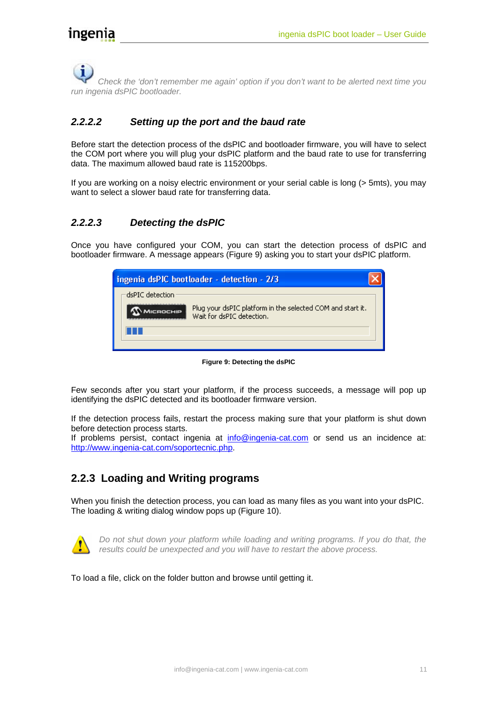<span id="page-12-0"></span> *Check the 'don't remember me again' option if you don't want to be alerted next time you run ingenia dsPIC bootloader.* 

#### *2.2.2.2 Setting up the port and the baud rate*

Before start the detection process of the dsPIC and bootloader firmware, you will have to select the COM port where you will plug your dsPIC platform and the baud rate to use for transferring data. The maximum allowed baud rate is 115200bps.

If you are working on a noisy electric environment or your serial cable is long (> 5mts), you may want to select a slower baud rate for transferring data.

#### *2.2.2.3 Detecting the dsPIC*

Once you have configured your COM, you can start the detection process of dsPIC and bootloader firmware. A message appears [\(Figure 9\)](#page-12-1) asking you to start your dsPIC platform.

<span id="page-12-2"></span>

| ingenia dsPIC bootloader - detection - 2/3 |                                                                                         |  |  |
|--------------------------------------------|-----------------------------------------------------------------------------------------|--|--|
| dsPIC detection.                           | Plug your dsPIC platform in the selected COM and start it.<br>Wait for dsPIC detection. |  |  |
|                                            |                                                                                         |  |  |

<span id="page-12-1"></span>**Figure 9: Detecting the dsPIC** 

Few seconds after you start your platform, if the process succeeds, a message will pop up identifying the dsPIC detected and its bootloader firmware version.

If the detection process fails, restart the process making sure that your platform is shut down before detection process starts.

If problems persist, contact ingenia at [info@ingenia-cat.com](mailto:info@ingenia-cat.com) or send us an incidence at: [http://www.ingenia-cat.com/soportecnic.php.](http://www.ingenia-cat.com/soportecnic.php?tema=incis)

## **2.2.3 Loading and Writing programs**

When you finish the detection process, you can load as many files as you want into your dsPIC. The loading & writing dialog window pops up [\(Figure 10\)](#page-13-0).



*Do not shut down your platform while loading and writing programs. If you do that, the results could be unexpected and you will have to restart the above process.* 

To load a file, click on the folder button and browse until getting it.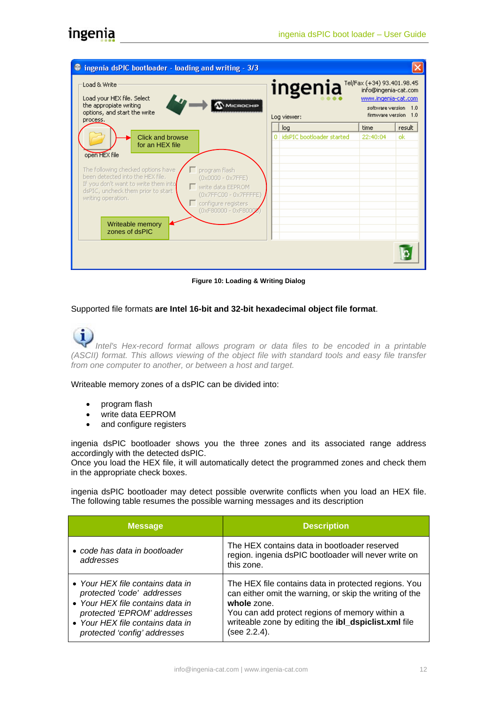| <sup>2</sup> ingenia dsPIC bootloader - loading and writing - 3/3                                                                                                                                                                                                                                                                                                                                               |    |                                  |                                                                                                                           |        |
|-----------------------------------------------------------------------------------------------------------------------------------------------------------------------------------------------------------------------------------------------------------------------------------------------------------------------------------------------------------------------------------------------------------------|----|----------------------------------|---------------------------------------------------------------------------------------------------------------------------|--------|
| Load & Write<br>Load your HEX file. Select<br>$\mathcal D$ Microchip<br>the appropiate writing<br>options, and start the write<br>process.                                                                                                                                                                                                                                                                      |    | ingenia<br>Log viewer:           | Tel/Fax (+34) 93.401.98.45<br>info@ingenia-cat.com<br>www.ingenia-cat.com<br>software version 1.0<br>firmware version 1.0 |        |
|                                                                                                                                                                                                                                                                                                                                                                                                                 | ΩI | log<br>idsPIC bootloader started | time                                                                                                                      | result |
| Click and browse<br>for an HEX file<br>open HEX file<br>The following checked options have<br>program flash<br>been detected into the HEX file.<br>$(0x0000 - 0x7$ FFE)<br>If you don't want to write them into<br>□ write data EEPROM<br>dsPIC, uncheck them prior to start<br>(0x7FFC00 - 0x7FFFFE)<br>writing operation.<br>configure registers<br>(0xF80000 - 0xF8000<br>Writeable memory<br>zones of dsPIC |    |                                  | 22:40:04                                                                                                                  | ok     |
|                                                                                                                                                                                                                                                                                                                                                                                                                 |    |                                  |                                                                                                                           |        |

<span id="page-13-0"></span>**Figure 10: Loading & Writing Dialog** 

#### Supported file formats **are Intel 16-bit and 32-bit hexadecimal object file format**.

*Intel's Hex-record format allows program or data files to be encoded in a printable (ASCII) format. This allows viewing of the object file with standard tools and easy file transfer from one computer to another, or between a host and target.*

Writeable memory zones of a dsPIC can be divided into:

- program flash
- write data EEPROM
- and configure registers

ingenia dsPIC bootloader shows you the three zones and its associated range address accordingly with the detected dsPIC.

Once you load the HEX file, it will automatically detect the programmed zones and check them in the appropriate check boxes.

ingenia dsPIC bootloader may detect possible overwrite conflicts when you load an HEX file. The following table resumes the possible warning messages and its description

| <b>Message</b>                                                                                                                                                                                        | <b>Description</b>                                                                                                                                                                                                                                       |
|-------------------------------------------------------------------------------------------------------------------------------------------------------------------------------------------------------|----------------------------------------------------------------------------------------------------------------------------------------------------------------------------------------------------------------------------------------------------------|
| • code has data in bootloader<br>addresses                                                                                                                                                            | The HEX contains data in bootloader reserved<br>region. ingenia dsPIC bootloader will never write on<br>this zone.                                                                                                                                       |
| • Your HEX file contains data in<br>protected 'code' addresses<br>• Your HEX file contains data in<br>protected 'EPROM' addresses<br>• Your HEX file contains data in<br>protected 'config' addresses | The HEX file contains data in protected regions. You<br>can either omit the warning, or skip the writing of the<br>whole zone.<br>You can add protect regions of memory within a<br>writeable zone by editing the ibl_dspiclist.xml file<br>(see 2.2.4). |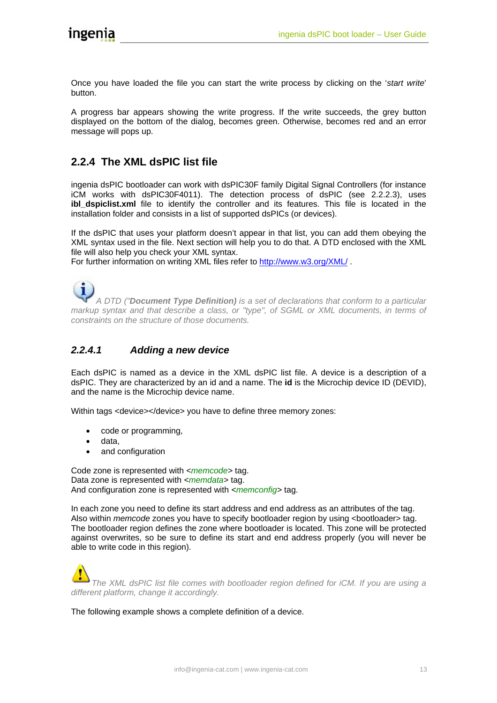<span id="page-14-0"></span>Once you have loaded the file you can start the write process by clicking on the '*start write*' button.

A progress bar appears showing the write progress. If the write succeeds, the grey button displayed on the bottom of the dialog, becomes green. Otherwise, becomes red and an error message will pops up.

## <span id="page-14-1"></span>**2.2.4 The XML dsPIC list file**

ingenia dsPIC bootloader can work with dsPIC30F family Digital Signal Controllers (for instance iCM works with dsPIC30F4011). The detection process of dsPIC (see [2.2.2.3\)](#page-12-2), uses **ibl dspiclist.xml** file to identify the controller and its features. This file is located in the installation folder and consists in a list of supported dsPICs (or devices).

If the dsPIC that uses your platform doesn't appear in that list, you can add them obeying the XML syntax used in the file. Next section will help you to do that. A DTD enclosed with the XML file will also help you check your XML syntax.

For further information on writing XML files refer to <http://www.w3.org/XML/> .

*A DTD ("Document Type Definition) is a set of declarations that conform to a particular markup syntax and that describe a class, or "type", of SGML or XML documents, in terms of constraints on the structure of those documents.* 

#### *2.2.4.1 Adding a new device*

Each dsPIC is named as a device in the XML dsPIC list file. A device is a description of a dsPIC. They are characterized by an id and a name. The **id** is the Microchip device ID (DEVID), and the name is the Microchip device name.

Within tags <device></device> you have to define three memory zones:

- code or programming,
- data,
- and configuration

Code zone is represented with <memcode> tag. Data zone is represented with <*memdata*> tag. And configuration zone is represented with *<memconfig*> tag.

In each zone you need to define its start address and end address as an attributes of the tag. Also within *memcode* zones you have to specify bootloader region by using <bootloader> tag. The bootloader region defines the zone where bootloader is located. This zone will be protected against overwrites, so be sure to define its start and end address properly (you will never be able to write code in this region).

*The XML dsPIC list file comes with bootloader region defined for iCM. If you are using a different platform, change it accordingly.*

The following example shows a complete definition of a device.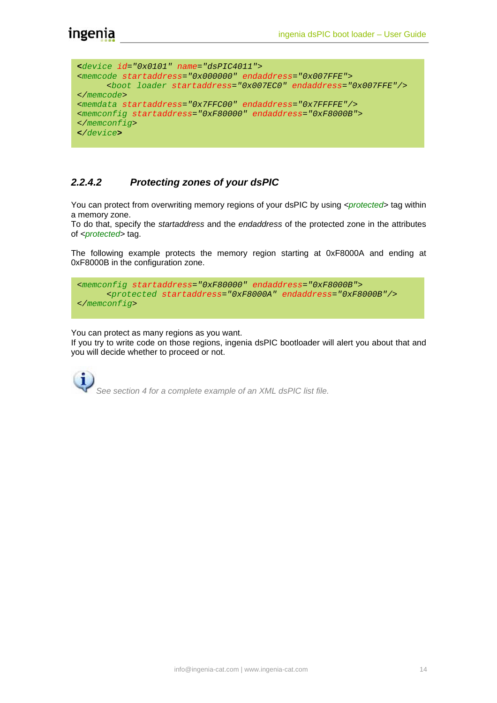```
<device id="0x0101" name="dsPIC4011"> 
<memcode startaddress="0x000000" endaddress="0x007FFE"> 
      <boot loader startaddress="0x007EC0" endaddress="0x007FFE"/> 
</memcode> 
<memdata startaddress="0x7FFC00" endaddress="0x7FFFFE"/> 
<memconfig startaddress="0xF80000" endaddress="0xF8000B"> 
</memconfig> 
</device>
```
#### *2.2.4.2 Protecting zones of your dsPIC*

You can protect from overwriting memory regions of your dsPIC by using <protected> tag within a memory zone.

To do that, specify the *startaddress* and the *endaddress* of the protected zone in the attributes of *<protected>* tag.

The following example protects the memory region starting at 0xF8000A and ending at 0xF8000B in the configuration zone.

```
<memconfig startaddress="0xF80000" endaddress="0xF8000B"> 
       <protected startaddress="0xF8000A" endaddress="0xF8000B"/> 
</memconfig>
```
You can protect as many regions as you want.

If you try to write code on those regions, ingenia dsPIC bootloader will alert you about that and you will decide whether to proceed or not.

*See section 4 for a complete example of an XML dsPIC list file.*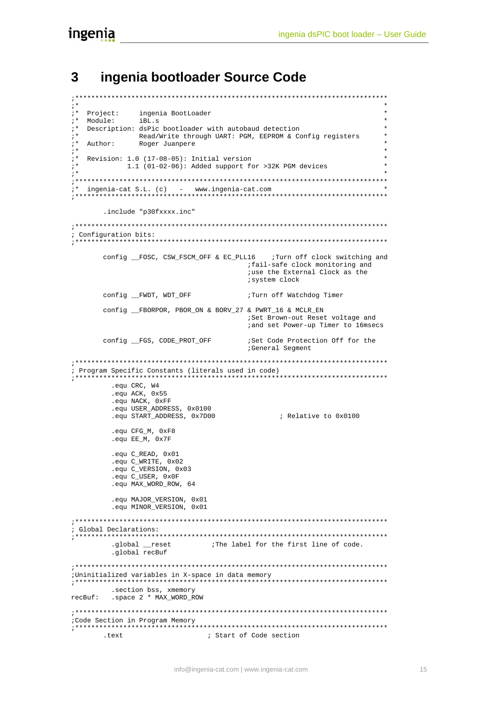## <span id="page-16-0"></span>**3 ingenia bootloader Source Code**

```
;****************************************************************************** 
; * *
;* Project: ingenia BootLoader * 
;* Module: iBL.s * 
;* Description: dsPic bootloader with autobaud detection * 
;* The Read/Write through UART: PGM, EEPROM & Config registers<br>
;* Author: Roger Juanpere
;* Author: Roger Juanpere * 
; * *
;* Revision: 1.0 (17-08-05): Initial version * 
;* 1.1 (01-02-06): Added support for >32K PGM devices * 
;* * 
;****************************************************************************** 
;* ingenia-cat S.L. (c) - www.ingenia-cat.com * 
;****************************************************************************** 
        .include "p30fxxxx.inc" 
;****************************************************************************** 
; Configuration bits: 
       ;****************************************************************************** 
       config _FOSC, CSW_FSCM_OFF & EC_PLL16 ; Turn off clock switching and
                                        ;fail-safe clock monitoring and 
                                         ;use the External Clock as the 
                                         ;system clock 
       config __FWDT, WDT_OFF \qquad \qquad ;Turn off Watchdog Timer
        config __FBORPOR, PBOR_ON & BORV_27 & PWRT_16 & MCLR_EN 
                                        ;Set Brown-out Reset voltage and 
                                        ;and set Power-up Timer to 16msecs 
       config __FGS, CODE_PROT_OFF ;Set Code Protection Off for the
                                        ;General Segment 
;****************************************************************************** 
; Program Specific Constants (literals used in code) 
;****************************************************************************** 
          .equ CRC, W4 
          .equ ACK, 0x55 
          .equ NACK, 0xFF 
          .equ USER_ADDRESS, 0x0100 
         .equ START_ADDRESS, 0x7D00 ; Relative to 0x0100
          .equ CFG_M, 0xF8 
          .equ EE_M, 0x7F 
          .equ C_READ, 0x01 
          .equ C_WRITE, 0x02 
         .equ C_VERSION, 0x03
         .equ C USER, 0x0F
          .equ MAX_WORD_ROW, 64 
         .equ MAJOR VERSION, 0x01
         .equ MINOR_VERSION, 0x01
;****************************************************************************** 
; Global Declarations: 
                  ;****************************************************************************** 
        .global __reset ;The label for the first line of code.
          .global recBuf 
;****************************************************************************** 
;Uninitialized variables in X-space in data memory 
;****************************************************************************** 
         .section bss, xmemory 
recBuf: .space 2 * MAX_WORD_ROW 
;****************************************************************************** 
;Code Section in Program Memory 
;****************************************************************************** 
       .text ; Start of Code section
```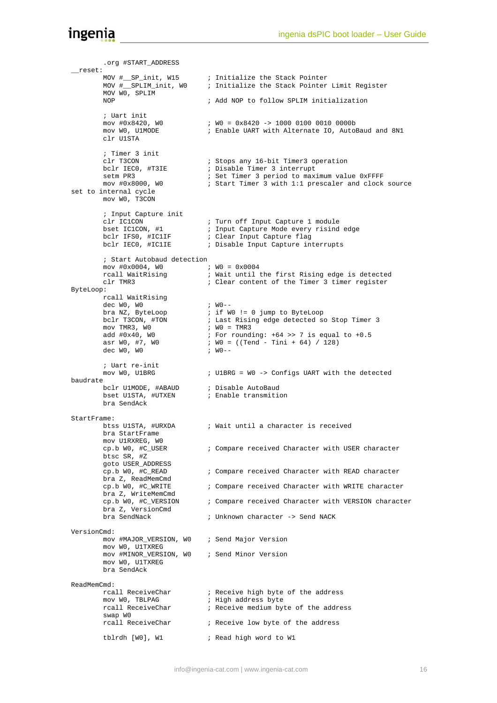```
 .org #START_ADDRESS 
 __reset: 
 MOV #__SP_init, W15 ; Initialize the Stack Pointer 
 MOV #__SPLIM_init, W0 ; Initialize the Stack Pointer Limit Register 
           MOV W0, SPLIM 
           NOP ; Add NOP to follow SPLIM initialization 
           ; Uart init 
          mov #0x8420, W0               ; W0 = 0x8420 -> 1000 0100 0010 0000b<br>mov W0, U1MODE              ; Enable UART with Alternate IO, AutoR
                                           ; Enable UART with Alternate IO, AutoBaud and 8N1
           clr U1STA 
           ; Timer 3 init 
          clr T3CON ; Stops any 16-bit Timer3 operation<br>bclr IECO, #T3IE ; Disable Timer 3 interrupt
                                           ; Disable Timer 3 interrupt
          setm PR3 ; Set Timer 3 period to maximum value 0xFFFF<br>mov #0x8000, W0 ; Start Timer 3 with 1:1 prescaler and clock
                                          ; Start Timer 3 with 1:1 prescaler and clock source
set to internal cycle 
          mov W0, T3CON 
           ; Input Capture init 
           clr IC1CON ; Turn off Input Capture 1 module 
bset IC1CON, #1 \qquad \qquad ; Input Capture Mode every risind edge
bclr IFS0, #IC1IF           ; Clear Input Capture flag
         bclr IECO, #IC1IE ; Disable Input Capture interrupts
           ; Start Autobaud detection 
mov #0x0004, W0 ; W0 = 0x0004rcall WaitRising \qquad \qquad ; Wait until the first Rising edge is detected
           clr TMR3 ; Clear content of the Timer 3 timer register 
ByteLoop: 
          rcall WaitRising 
          dec W0, W0                        ; W0--<br>bra NZ, ByteLoop              ; if W
                                           i if WO != 0 jump to ByteLoop
          bclr T3CON, #TON ; Last Rising edge detected so Stop Timer 3<br>mov TMR3, WO : WO = TMR3
          mov TMR3, W0<br>add #0x40, W0
          add #0x40, W0 <br>asr W0, #7, W0 <br>\cdot W0 = ((Tend - Tini + 64) / 128)
                                          \begin{array}{r} 7 \text{ }\text{red} \text{ } \text{mod} \text{ } \text{mod} \text{ } \text{mod} \text{ } \text{mod} \text{ } \text{mod} \text{ } \text{mod} \text{ } \text{mod} \text{ } \text{mod} \text{ } \text{mod} \text{ } \text{mod} \text{ } \text{mod} \text{ } \text{mod} \text{ } \text{mod} \text{ } \text{mod} \text{ } \text{mod} \text{ } \text{mod} \text{ } \text{mod} \text{ } \text{mod} \text{ } \text{mod} \text{ } \text{mod} \text{ } \text{mod} \text{ } \text{mod} \text{ } \dec W0. W0 ; Uart re-init 
                                          ; U1BRG = W0 -> Configs UART with the detected
baudrate 
          bclr U1MODE, #ABAUD ; Disable AutoBaud<br>bset U1STA, #UTXEN ; Enable transmition
                                          ; Enable transmition
           bra SendAck 
StartFrame: 
                                    ; Wait until a character is received
           bra StartFrame 
           mov U1RXREG, W0 
           cp.b W0, #C_USER ; Compare received Character with USER character 
           btsc SR, #Z 
          goto USER_ADDRESS<br>cp.b W0, #C_READ
                                           ; Compare received Character with READ character
         bra Z, ReadMemCmd<br>cp.b W0, #C_WRITE
                                           ; Compare received Character with WRITE character
          bra Z, WriteMemCmd<br>cp.b W0, #C VERSION
                                           ; Compare received Character with VERSION character
           bra Z, VersionCmd 
         bra SendNack ; Unknown character -> Send NACK
VersionCmd: 
           mov #MAJOR_VERSION, W0 ; Send Major Version 
          mov WO, U1TXREG
           mov #MINOR_VERSION, W0 ; Send Minor Version 
           mov W0, U1TXREG 
           bra SendAck 
ReadMemCmd:<br>rcall ReceiveChar
          rcall ReceiveChar ; Receive high byte of the address<br>mov W0, TBLPAG ; High address byte
          mov W0, TBLPAG                   ; High address byte<br>
rcall ReceiveChar           ; Receive medium by
                                          ; Receive medium byte of the address
           swap W0 
           rcall ReceiveChar ; Receive low byte of the address 
           tblrdh [W0], W1 ; Read high word to W1
```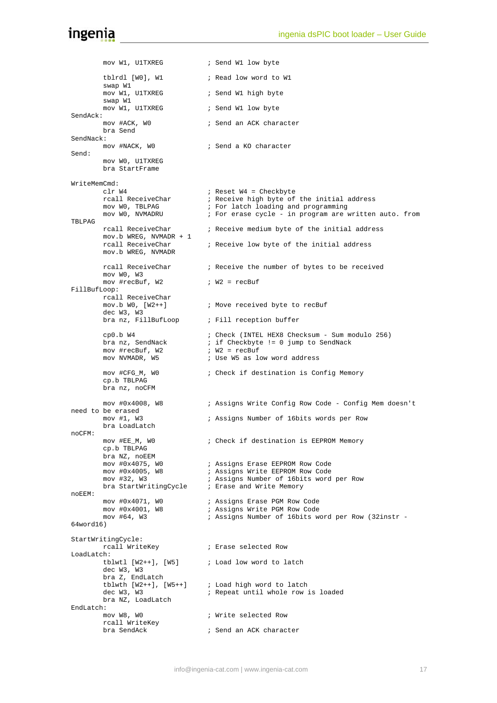mov W1, U1TXREG i Send W1 low byte tblrdl [W0], W1 ; Read low word to W1 swap W1 mov W1, UlTXREG i Send W1 high byte swap W1<br>mov W1, U1TXREG ; Send W1 low byte SendAck:<br>mov #ACK, WO ; Send an ACK character bra Send SendNack:<br>mov #NACK, WO ; Send a KO character Send: mov W0, U1TXREG bra StartFrame WriteMemCmd:<br>clr W4 clr W4  $\qquad$  ; Reset W4 = Checkbyte<br>rcall ReceiveChar  $\qquad$  ; Receive high byte of rcall ReceiveChar ; Receive high byte of the initial address<br>mov W0, TBLPAG ; For latch loading and programming mov W0, TBLPAG ; For latch loading and programming<br>
mov W0, NVMADRU ; For erase cycle - in program are w ; For erase cycle - in program are written auto. from TBLPAG rcall ReceiveChar ; Receive medium byte of the initial address mov.b WREG, NVMADR + 1 rcall ReceiveChar ; Receive low byte of the initial address mov.b WREG, NVMADR rcall ReceiveChar ; Receive the number of bytes to be received mov W0, W3 mov #recBuf,  $W2 = r$ ecBuf FillBufLoop: rcall ReceiveChar<br>mov.b W0, [W2++] ; Move received byte to recBuf dec W3, W3 bra nz, FillBufLoop ; Fill reception buffer cp0.b W4 ; Check (INTEL HEX8 Checksum - Sum modulo 256) bra natural natural substitutions in the standard is if Checkbyte != 0 jump to SendNack ;  $W2 = \text{recBuf}$ mov #recBuf, W2 mov NVMADR, W5  $\qquad \qquad ;$  Use W5 as low word address mov #CFG\_M, W0 ; Check if destination is Config Memory cp.b TBLPAG bra nz, noCFM mov #0x4008, W8 ; Assigns Write Config Row Code - Config Mem doesn't need to be erased mov #1, W3 ; Assigns Number of 16bits words per Row bra LoadLatch noCFM: mov #EE\_M, W0 ; Check if destination is EEPROM Memory cp.b TBLPAG bra NZ, noEEM<br>mov #0x4075, WO mov #0x4075, W0 ; Assigns Erase EEPROM Row Code<br>mov #0x4005, W8 ; Assigns Write EEPROM Row Code ; Assigns Write EEPROM Row Code mov #32, W3 ; Assigns Number of 16bits word per Row<br>bra StartWritingCycle ; Erase and Write Memory bra StartWritingCycle noEEM: mov #0x4071, W0 ; Assigns Erase PGM Row Code<br>mov #0x4001, W8 ; Assigns Write PGM Row Code .<br>Busigns Write PGM Row Code mov #64, W3 ; Assigns Number of 16bits word per Row (32instr - 64word16) StartWritingCycle: rcall WriteKey ; Erase selected Row LoadLatch:<br>tblwtl [W2++], [W5] ; Load low word to latch dec W3, W3 bra Z, EndLatch tblwth [W2++], [W5++] ; Load high word to latch dec W3, W3  $\qquad \qquad ;$  Repeat until whole row is loaded bra NZ, LoadLatch EndLatch:<br>mov W8, W0 ; Write selected Row rcall WriteKey<br>bra SendAck ; Send an ACK character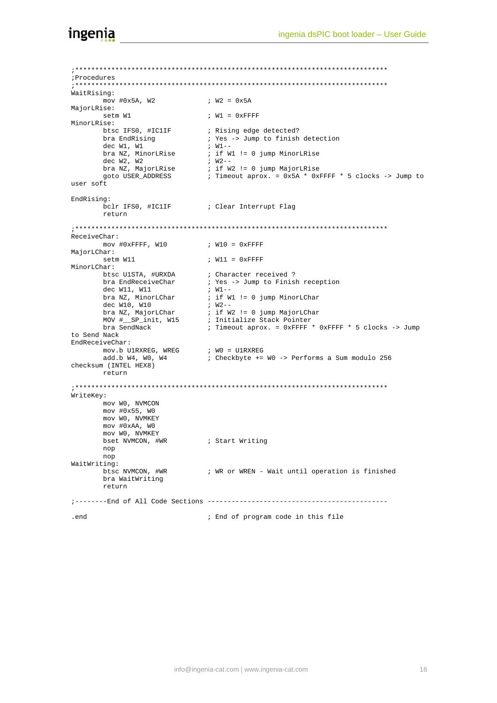;\*\*\*\*\*\*\*\*\*\*\*\*\*\*\*\*\*\*\*\*\*\*\*\*\*\*\*\*\*\*\*\*\*\*\*\*\*\*\*\*\*\*\*\*\*\*\*\*\*\*\*\*\*\*\*\*\*\*\*\*\*\*\*\*\*\*\*\*\*\*\*\*\*\*\*\*\*\* ;Procedures ;\*\*\*\*\*\*\*\*\*\*\*\*\*\*\*\*\*\*\*\*\*\*\*\*\*\*\*\*\*\*\*\*\*\*\*\*\*\*\*\*\*\*\*\*\*\*\*\*\*\*\*\*\*\*\*\*\*\*\*\*\*\*\*\*\*\*\*\*\*\*\*\*\*\*\*\*\*\* WaitRising: mov #0x5A, W2 ; W2 = 0x5A MajorLRise: setm W1 <br>
; W1 = 0xFFFF MinorLRise:<br>btsc IFS0, #IC1IF btsc IFS0, #IC1IF ; Rising edge detected?<br>
bra EndRising ; Yes -> Jump to finish ; Yes -> Jump to finish detection dec W1, W1 dec W1, W1  $\begin{array}{lll} ; & W1-- \\ & ; & W1-- \\ \end{array}$ <br>bra NZ, MinorLRise  $\begin{array}{lll} ; & W1-- \\ & ; & \text{if } W1 := 0 \text{ jump MinorLRise} \\ & ; & W2-- \end{array}$ dec W2, W2<br>bra NZ, MajorLRise bra NZ, MajorLRise ; if W2 != 0 jump MajorLRise goto USER\_ADDRESS ; Timeout aprox. = 0x5A \* 0xFFFF \* 5 clocks -> Jump to user soft EndRising:<br>bclr IFS0, #IC1IF ; Clear Interrupt Flag return ;\*\*\*\*\*\*\*\*\*\*\*\*\*\*\*\*\*\*\*\*\*\*\*\*\*\*\*\*\*\*\*\*\*\*\*\*\*\*\*\*\*\*\*\*\*\*\*\*\*\*\*\*\*\*\*\*\*\*\*\*\*\*\*\*\*\*\*\*\*\*\*\*\*\*\*\*\*\* ReceiveChar:  $mov$  #0xFFFF, W10  $N10 = 0x$ FFFF MajorLChar:<br>setm W11  $;$  W11 =  $0x$ FFFF MinorLChar: btsc U1STA, #URXDA i Character received ? bra EndReceiveChar (butching the Soump to Finish reception bra EndReceiveChar <br>  $\begin{array}{ll}\n & ; \text{Yes} \rightarrow \text{Jump to Finish reception} \\
 & ; \text{ W1--} \\
 & ; \text{ if W1} := 0 \text{ jump MinorLChar}\n\end{array}$ i if W1 != 0 jump MinorLChar<br>; W2--<br>; if W2 != 0 jump MajorLChar dec W10, W10<br>bra NZ, MajorLChar bra NZ, MajorLChar ; if W2 != 0 jump MajorLChar MOV #\_\_SP\_init, W15 ; Initialize Stack Pointer bra SendNack  $\qquad$  ; Timeout aprox. = 0xFFFF \* 0xFFFF \* 5 clocks -> Jump to Send Nack EndReceiveChar: mov.b U1RXREG, WREG  $\qquad$  ; WO = U1RXREG add.b W4, W0, W4 ; Checkbyte += W0 -> Performs a Sum modulo 256 checksum (INTEL HEX8) return ;\*\*\*\*\*\*\*\*\*\*\*\*\*\*\*\*\*\*\*\*\*\*\*\*\*\*\*\*\*\*\*\*\*\*\*\*\*\*\*\*\*\*\*\*\*\*\*\*\*\*\*\*\*\*\*\*\*\*\*\*\*\*\*\*\*\*\*\*\*\*\*\*\*\*\*\*\*\* WriteKey: mov W0, NVMCON mov #0x55, W0 mov W0, NVMKEY mov #0xAA, W0 mov W0, NVMKEY bset NVMCON, #WR ; Start Writing nop nop WaitWriting: btsc NVMCON, #WR ; WR or WREN - Wait until operation is finished bra WaitWriting return ;--------End of All Code Sections --------------------------------------------- .end ; End of program code in this file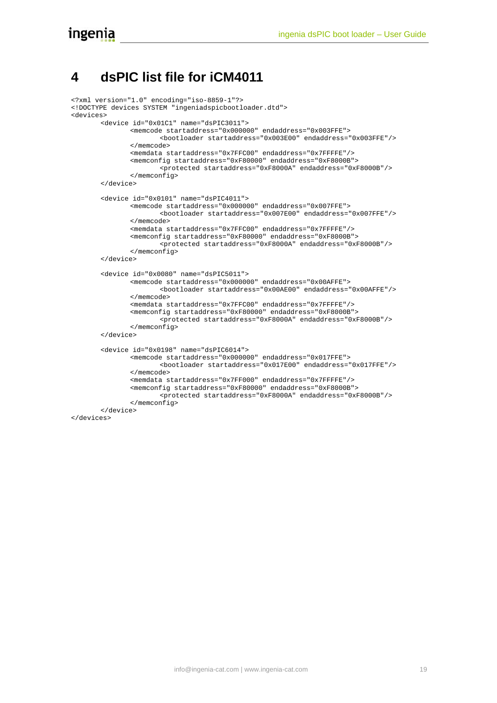## <span id="page-20-0"></span>**4 dsPIC list file for iCM4011**

```
<?xml version="1.0" encoding="iso-8859-1"?> 
<!DOCTYPE devices SYSTEM "ingeniadspicbootloader.dtd"> 
<devices> 
       <device id="0x01C1" name="dsPIC3011"> 
                <memcode startaddress="0x000000" endaddress="0x003FFE"> 
                        <bootloader startaddress="0x003E00" endaddress="0x003FFE"/> 
                </memcode> 
                <memdata startaddress="0x7FFC00" endaddress="0x7FFFFE"/> 
                <memconfig startaddress="0xF80000" endaddress="0xF8000B"> 
                        <protected startaddress="0xF8000A" endaddress="0xF8000B"/> 
                </memconfig> 
        </device> 
       <device id="0x0101" name="dsPIC4011"> 
                <memcode startaddress="0x000000" endaddress="0x007FFE"> 
                       <bootloader startaddress="0x007E00" endaddress="0x007FFE"/> 
                </memcode> 
                <memdata startaddress="0x7FFC00" endaddress="0x7FFFFE"/> 
                <memconfig startaddress="0xF80000" endaddress="0xF8000B"> 
                       <protected startaddress="0xF8000A" endaddress="0xF8000B"/> 
                </memconfig> 
        </device> 
       <device id="0x0080" name="dsPIC5011"> 
                <memcode startaddress="0x000000" endaddress="0x00AFFE"> 
                        <bootloader startaddress="0x00AE00" endaddress="0x00AFFE"/> 
                </memcode> 
                <memdata startaddress="0x7FFC00" endaddress="0x7FFFFE"/> 
                <memconfig startaddress="0xF80000" endaddress="0xF8000B"> 
                        <protected startaddress="0xF8000A" endaddress="0xF8000B"/> 
                </memconfig> 
        </device> 
       <device id="0x0198" name="dsPIC6014"> 
                <memcode startaddress="0x000000" endaddress="0x017FFE"> 
                        <bootloader startaddress="0x017E00" endaddress="0x017FFE"/> 
                </memcode> 
                <memdata startaddress="0x7FF000" endaddress="0x7FFFFE"/> 
                <memconfig startaddress="0xF80000" endaddress="0xF8000B"> 
                        <protected startaddress="0xF8000A" endaddress="0xF8000B"/> 
                </memconfig> 
        </device> 
</devices>
```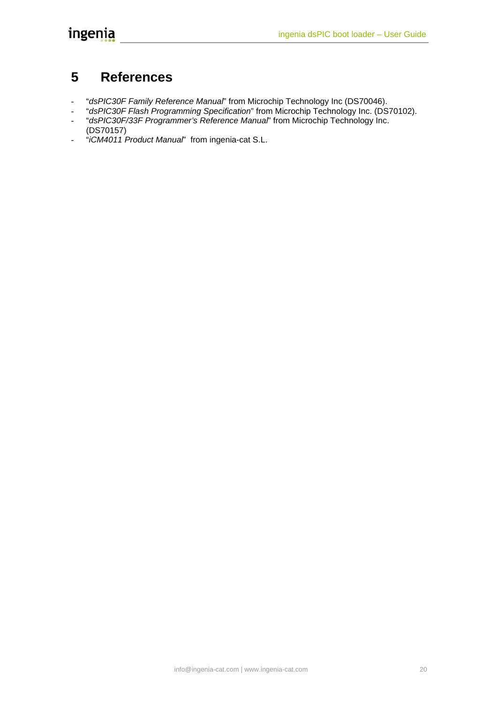# <span id="page-21-0"></span>**5 References**

- "*dsPIC30F Family Reference Manual*" from Microchip Technology Inc (DS70046).
- "*dsPIC30F Flash Programming Specification*" from Microchip Technology Inc. (DS70102). - "*dsPIC30F/33F Programmer's Reference Manual*" from Microchip Technology Inc.
- (DS70157)
- "*iCM4011 Product Manual*" from ingenia-cat S.L.